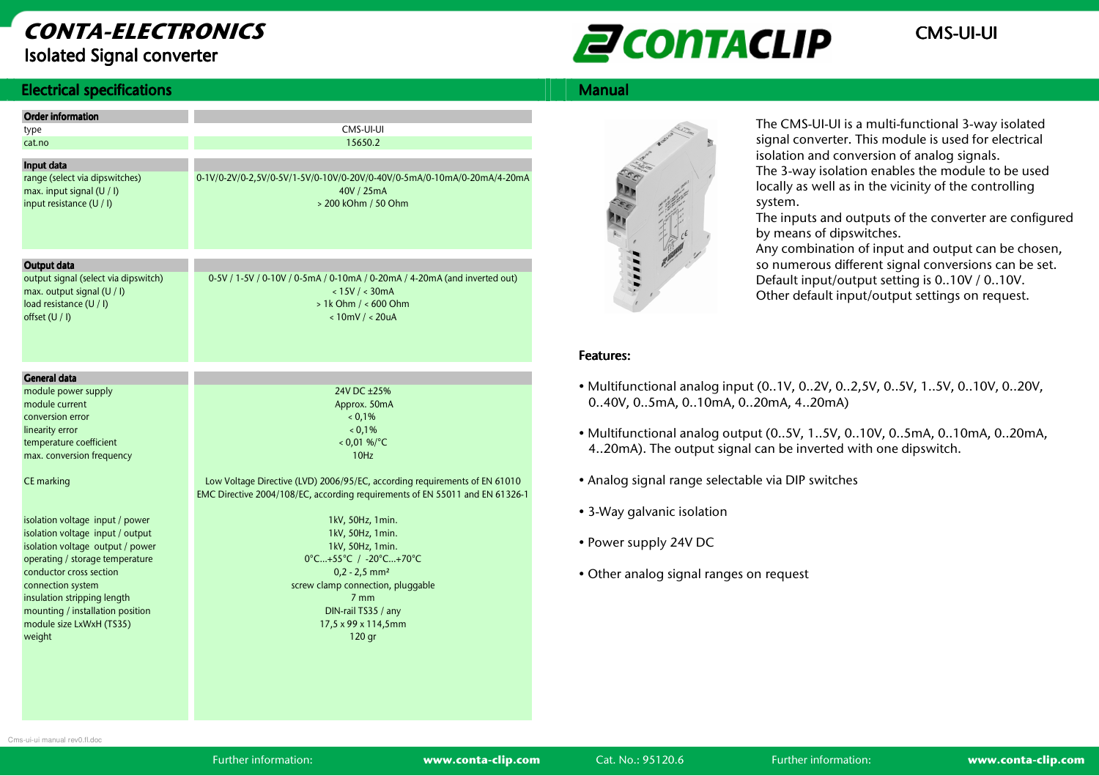## CONTA-ELECTRONICSIsolated Signal converter



#### **Electrical specifications** s and the state of the state of the state of the state of the Manual Manual Manual Manual Manual Manual Manual

| <b>Order information</b>                                                                                        |                                                                                                                                                  |
|-----------------------------------------------------------------------------------------------------------------|--------------------------------------------------------------------------------------------------------------------------------------------------|
|                                                                                                                 | CMS-UI-UI                                                                                                                                        |
| type<br>cat.no                                                                                                  | 15650.2                                                                                                                                          |
|                                                                                                                 |                                                                                                                                                  |
| Input data                                                                                                      |                                                                                                                                                  |
| range (select via dipswitches)<br>max. input signal (U / I)<br>input resistance (U / I)                         | 0-1V/0-2V/0-2,5V/0-5V/1-5V/0-10V/0-20V/0-40V/0-5mA/0-10mA/0-20mA/4-20mA<br>40V / 25mA<br>> 200 kOhm / 50 Ohm                                     |
| Output data                                                                                                     |                                                                                                                                                  |
| output signal (select via dipswitch)<br>max. output signal (U / I)<br>load resistance (U / I)<br>offset (U / I) | 0-5V / 1-5V / 0-10V / 0-5mA / 0-10mA / 0-20mA / 4-20mA (and inverted out)<br>< 15V / < 30mA<br>$> 1k$ Ohm $/ < 600$ Ohm<br>$< 10$ mV / $< 20$ uA |
| <b>General data</b>                                                                                             |                                                                                                                                                  |
| module power supply                                                                                             | 24V DC ±25%                                                                                                                                      |
| module current                                                                                                  | Approx. 50mA                                                                                                                                     |
| conversion error                                                                                                | 0.1%                                                                                                                                             |
| linearity error                                                                                                 | 0.1%                                                                                                                                             |
| temperature coefficient                                                                                         | $< 0.01$ %/°C                                                                                                                                    |
| max. conversion frequency                                                                                       | 10Hz                                                                                                                                             |
|                                                                                                                 |                                                                                                                                                  |
| CE marking                                                                                                      | Low Voltage Directive (LVD) 2006/95/EC, according requirements of EN 61010                                                                       |
|                                                                                                                 | EMC Directive 2004/108/EC, according requirements of EN 55011 and EN 61326-1                                                                     |
|                                                                                                                 |                                                                                                                                                  |
| isolation voltage input / power                                                                                 | 1kV, 50Hz, 1min.                                                                                                                                 |
| isolation voltage input / output                                                                                | 1kV, 50Hz, 1min.                                                                                                                                 |
| isolation voltage output / power                                                                                | 1kV, 50Hz, 1min.                                                                                                                                 |
| operating / storage temperature                                                                                 | 0°C+55°C / -20°C+70°C                                                                                                                            |
| conductor cross section                                                                                         | $0,2 - 2,5$ mm <sup>2</sup>                                                                                                                      |
| connection system                                                                                               | screw clamp connection, pluggable                                                                                                                |
| insulation stripping length                                                                                     | 7 <sub>mm</sub>                                                                                                                                  |
| mounting / installation position                                                                                | DIN-rail TS35 / any                                                                                                                              |
| module size LxWxH (TS35)                                                                                        | 17,5 x 99 x 114,5mm                                                                                                                              |
| weight                                                                                                          | 120 gr                                                                                                                                           |
|                                                                                                                 |                                                                                                                                                  |



The CMS-UI-UI is a multi-functional 3-way isolated signal converter. This module is used for electrical isolation and conversion of analog signals. The 3-way isolation enables the module to be used

locally as well as in the vicinity of the controlling system.

 The inputs and outputs of the converter are configured by means of dipswitches.

 Any combination of input and output can be chosen, so numerous different signal conversions can be set. Default input/output setting is 0..10V / 0..10V. Other default input/output settings on request.

#### Features: Features:

- Multifunctional analog input (0..1V, 0..2V, 0..2,5V, 0..5V, 1..5V, 0..10V, 0..20V, 0..40V, 0..5mA, 0..10mA, 0..20mA, 4..20mA)
- Multifunctional analog output (0..5V, 1..5V, 0..10V, 0..5mA, 0..10mA, 0..20mA, 4..20mA). The output signal can be inverted with one dipswitch.
- Analog signal range selectable via DIP switches
- 3-Way galvanic isolation
- Power supply 24V DC
- Other analog signal ranges on request